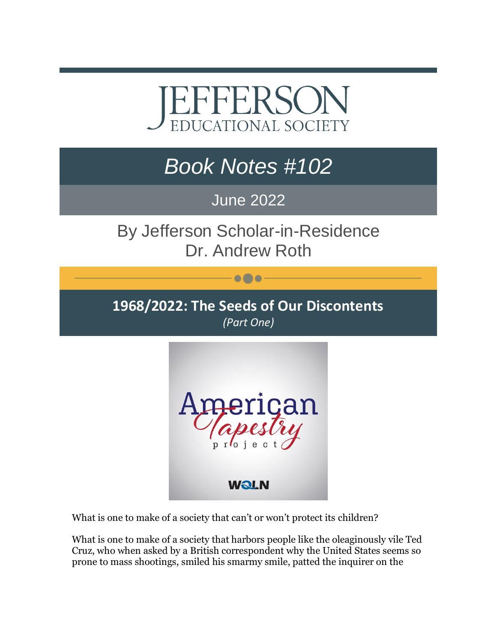## EFFERSOI **EDUCATIONAL SOCIETY**

## *Book Notes #102*

## June 2022

By Jefferson Scholar-in-Residence Dr. Andrew Roth

 $\bullet\bullet\bullet$ 

**1968/2022: The Seeds of Our Discontents** *(Part One)*



What is one to make of a society that can't or won't protect its children?

What is one to make of a society that harbors people like the oleaginously vile Ted Cruz, who when asked by a British correspondent why the United States seems so prone to mass shootings, smiled his smarmy smile, patted the inquirer on the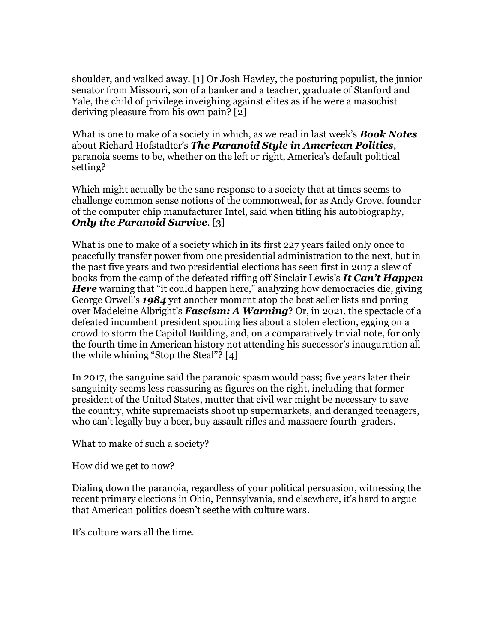shoulder, and walked away. [1] Or Josh Hawley, the posturing populist, the junior senator from Missouri, son of a banker and a teacher, graduate of Stanford and Yale, the child of privilege inveighing against elites as if he were a masochist deriving pleasure from his own pain? [2]

What is one to make of a society in which, as we read in last week's *Book Notes* about Richard Hofstadter's *The Paranoid Style in American Politics*, paranoia seems to be, whether on the left or right, America's default political setting?

Which might actually be the sane response to a society that at times seems to challenge common sense notions of the commonweal, for as Andy Grove, founder of the computer chip manufacturer Intel, said when titling his autobiography, *Only the Paranoid Survive*. [3]

What is one to make of a society which in its first 227 years failed only once to peacefully transfer power from one presidential administration to the next, but in the past five years and two presidential elections has seen first in 2017 a slew of books from the camp of the defeated riffing off Sinclair Lewis's *It Can't Happen Here* warning that "it could happen here," analyzing how democracies die, giving George Orwell's *1984* yet another moment atop the best seller lists and poring over Madeleine Albright's *Fascism: A Warning*? Or, in 2021, the spectacle of a defeated incumbent president spouting lies about a stolen election, egging on a crowd to storm the Capitol Building, and, on a comparatively trivial note, for only the fourth time in American history not attending his successor's inauguration all the while whining "Stop the Steal"? [4]

In 2017, the sanguine said the paranoic spasm would pass; five years later their sanguinity seems less reassuring as figures on the right, including that former president of the United States, mutter that civil war might be necessary to save the country, white supremacists shoot up supermarkets, and deranged teenagers, who can't legally buy a beer, buy assault rifles and massacre fourth-graders.

What to make of such a society?

How did we get to now?

Dialing down the paranoia, regardless of your political persuasion, witnessing the recent primary elections in Ohio, Pennsylvania, and elsewhere, it's hard to argue that American politics doesn't seethe with culture wars.

It's culture wars all the time.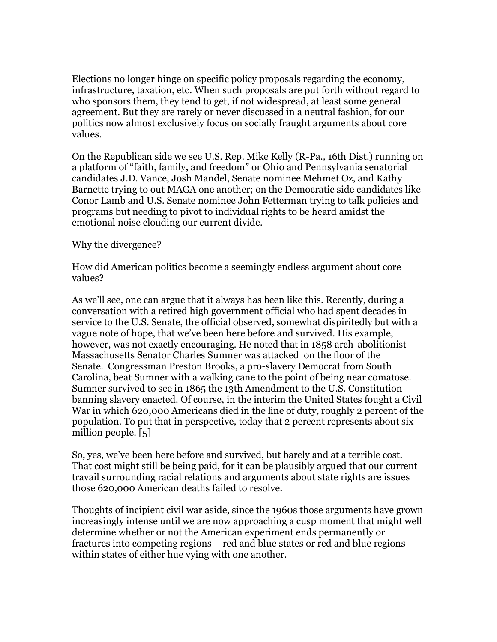Elections no longer hinge on specific policy proposals regarding the economy, infrastructure, taxation, etc. When such proposals are put forth without regard to who sponsors them, they tend to get, if not widespread, at least some general agreement. But they are rarely or never discussed in a neutral fashion, for our politics now almost exclusively focus on socially fraught arguments about core values.

On the Republican side we see U.S. Rep. Mike Kelly (R-Pa., 16th Dist.) running on a platform of "faith, family, and freedom" or Ohio and Pennsylvania senatorial candidates J.D. Vance, Josh Mandel, Senate nominee Mehmet Oz, and Kathy Barnette trying to out MAGA one another; on the Democratic side candidates like Conor Lamb and U.S. Senate nominee John Fetterman trying to talk policies and programs but needing to pivot to individual rights to be heard amidst the emotional noise clouding our current divide.

Why the divergence?

How did American politics become a seemingly endless argument about core values?

As we'll see, one can argue that it always has been like this. Recently, during a conversation with a retired high government official who had spent decades in service to the U.S. Senate, the official observed, somewhat dispiritedly but with a vague note of hope, that we've been here before and survived. His example, however, was not exactly encouraging. He noted that in 1858 arch-abolitionist Massachusetts Senator Charles Sumner was attacked on the floor of the Senate. Congressman Preston Brooks, a pro-slavery Democrat from South Carolina, beat Sumner with a walking cane to the point of being near comatose. Sumner survived to see in 1865 the 13th Amendment to the U.S. Constitution banning slavery enacted. Of course, in the interim the United States fought a Civil War in which 620,000 Americans died in the line of duty, roughly 2 percent of the population. To put that in perspective, today that 2 percent represents about six million people. [5]

So, yes, we've been here before and survived, but barely and at a terrible cost. That cost might still be being paid, for it can be plausibly argued that our current travail surrounding racial relations and arguments about state rights are issues those 620,000 American deaths failed to resolve.

Thoughts of incipient civil war aside, since the 1960s those arguments have grown increasingly intense until we are now approaching a cusp moment that might well determine whether or not the American experiment ends permanently or fractures into competing regions – red and blue states or red and blue regions within states of either hue vying with one another.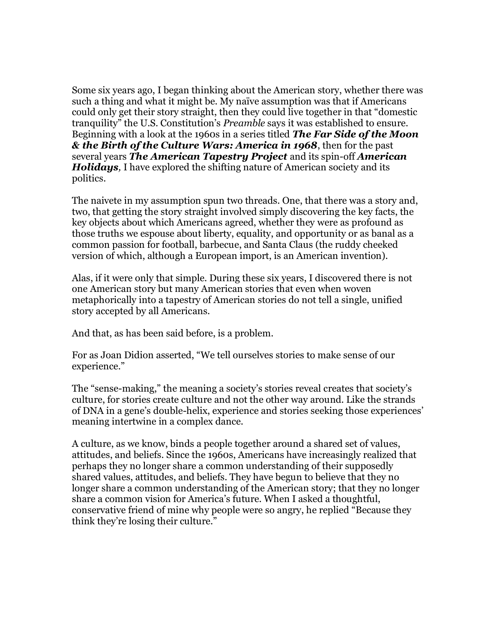Some six years ago, I began thinking about the American story, whether there was such a thing and what it might be. My naïve assumption was that if Americans could only get their story straight, then they could live together in that "domestic tranquility" the U.S. Constitution's *Preamble* says it was established to ensure. Beginning with a look at the 1960s in a series titled *The Far Side of the Moon & the Birth of the Culture Wars: America in 1968*, then for the past several years *The American Tapestry Project* and its spin-off *American Holidays,* I have explored the shifting nature of American society and its politics.

The naivete in my assumption spun two threads. One, that there was a story and, two, that getting the story straight involved simply discovering the key facts, the key objects about which Americans agreed, whether they were as profound as those truths we espouse about liberty, equality, and opportunity or as banal as a common passion for football, barbecue, and Santa Claus (the ruddy cheeked version of which, although a European import, is an American invention).

Alas, if it were only that simple. During these six years, I discovered there is not one American story but many American stories that even when woven metaphorically into a tapestry of American stories do not tell a single, unified story accepted by all Americans.

And that, as has been said before, is a problem.

For as Joan Didion asserted, "We tell ourselves stories to make sense of our experience."

The "sense-making," the meaning a society's stories reveal creates that society's culture, for stories create culture and not the other way around. Like the strands of DNA in a gene's double-helix, experience and stories seeking those experiences' meaning intertwine in a complex dance.

A culture, as we know, binds a people together around a shared set of values, attitudes, and beliefs. Since the 1960s, Americans have increasingly realized that perhaps they no longer share a common understanding of their supposedly shared values, attitudes, and beliefs. They have begun to believe that they no longer share a common understanding of the American story; that they no longer share a common vision for America's future. When I asked a thoughtful, conservative friend of mine why people were so angry, he replied "Because they think they're losing their culture."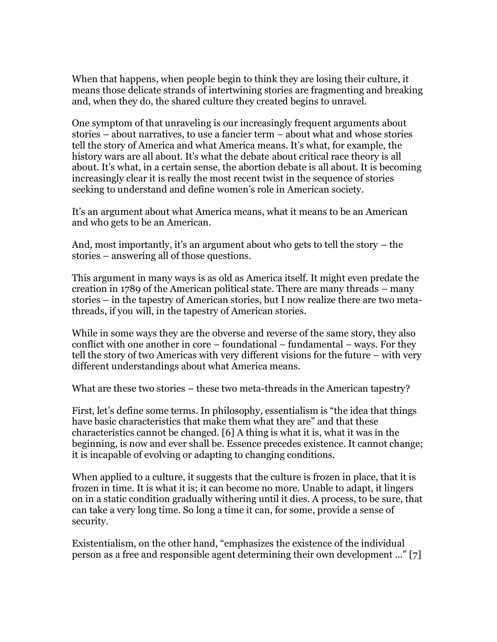When that happens, when people begin to think they are losing their culture, it means those delicate strands of intertwining stories are fragmenting and breaking and, when they do, the shared culture they created begins to unravel.

One symptom of that unraveling is our increasingly frequent arguments about stories – about narratives, to use a fancier term – about what and whose stories tell the story of America and what America means. It's what, for example, the history wars are all about. It's what the debate about critical race theory is all about. It's what, in a certain sense, the abortion debate is all about. It is becoming increasingly clear it is really the most recent twist in the sequence of stories seeking to understand and define women's role in American society.

It's an argument about what America means, what it means to be an American and who gets to be an American.

And, most importantly, it's an argument about who gets to tell the story – the stories – answering all of those questions.

This argument in many ways is as old as America itself. It might even predate the creation in 1789 of the American political state. There are many threads – many stories – in the tapestry of American stories, but I now realize there are two metathreads, if you will, in the tapestry of American stories.

While in some ways they are the obverse and reverse of the same story, they also conflict with one another in core – foundational – fundamental – ways. For they tell the story of two Americas with very different visions for the future – with very different understandings about what America means.

What are these two stories – these two meta-threads in the American tapestry?

First, let's define some terms. In philosophy, essentialism is "the idea that things have basic characteristics that make them what they are" and that these characteristics cannot be changed. [6] A thing is what it is, what it was in the beginning, is now and ever shall be. Essence precedes existence. It cannot change; it is incapable of evolving or adapting to changing conditions.

When applied to a culture, it suggests that the culture is frozen in place, that it is frozen in time. It is what it is; it can become no more. Unable to adapt, it lingers on in a static condition gradually withering until it dies. A process, to be sure, that can take a very long time. So long a time it can, for some, provide a sense of security.

Existentialism, on the other hand, "emphasizes the existence of the individual person as a free and responsible agent determining their own development …" [7]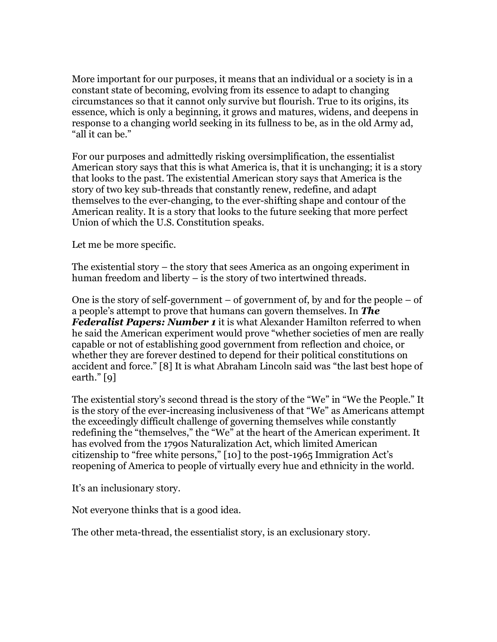More important for our purposes, it means that an individual or a society is in a constant state of becoming, evolving from its essence to adapt to changing circumstances so that it cannot only survive but flourish. True to its origins, its essence, which is only a beginning, it grows and matures, widens, and deepens in response to a changing world seeking in its fullness to be, as in the old Army ad, "all it can be."

For our purposes and admittedly risking oversimplification, the essentialist American story says that this is what America is, that it is unchanging; it is a story that looks to the past. The existential American story says that America is the story of two key sub-threads that constantly renew, redefine, and adapt themselves to the ever-changing, to the ever-shifting shape and contour of the American reality. It is a story that looks to the future seeking that more perfect Union of which the U.S. Constitution speaks.

Let me be more specific.

The existential story – the story that sees America as an ongoing experiment in human freedom and liberty – is the story of two intertwined threads.

One is the story of self-government  $-$  of government of, by and for the people  $-$  of a people's attempt to prove that humans can govern themselves. In *The Federalist Papers: Number 1* it is what Alexander Hamilton referred to when he said the American experiment would prove "whether societies of men are really capable or not of establishing good government from reflection and choice, or whether they are forever destined to depend for their political constitutions on accident and force." [8] It is what Abraham Lincoln said was "the last best hope of earth." [9]

The existential story's second thread is the story of the "We" in "We the People." It is the story of the ever-increasing inclusiveness of that "We" as Americans attempt the exceedingly difficult challenge of governing themselves while constantly redefining the "themselves," the "We" at the heart of the American experiment. It has evolved from the 1790s Naturalization Act, which limited American citizenship to "free white persons," [10] to the post-1965 Immigration Act's reopening of America to people of virtually every hue and ethnicity in the world.

It's an inclusionary story.

Not everyone thinks that is a good idea.

The other meta-thread, the essentialist story, is an exclusionary story.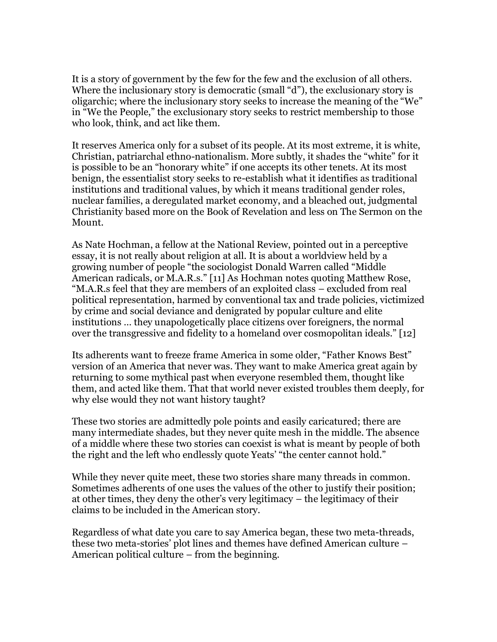It is a story of government by the few for the few and the exclusion of all others. Where the inclusionary story is democratic (small "d"), the exclusionary story is oligarchic; where the inclusionary story seeks to increase the meaning of the "We" in "We the People," the exclusionary story seeks to restrict membership to those who look, think, and act like them.

It reserves America only for a subset of its people. At its most extreme, it is white, Christian, patriarchal ethno-nationalism. More subtly, it shades the "white" for it is possible to be an "honorary white" if one accepts its other tenets. At its most benign, the essentialist story seeks to re-establish what it identifies as traditional institutions and traditional values, by which it means traditional gender roles, nuclear families, a deregulated market economy, and a bleached out, judgmental Christianity based more on the Book of Revelation and less on The Sermon on the Mount.

As Nate Hochman, a fellow at the National Review, pointed out in a perceptive essay, it is not really about religion at all. It is about a worldview held by a growing number of people "the sociologist Donald Warren called "Middle American radicals, or M.A.R.s." [11] As Hochman notes quoting Matthew Rose, "M.A.R.s feel that they are members of an exploited class – excluded from real political representation, harmed by conventional tax and trade policies, victimized by crime and social deviance and denigrated by popular culture and elite institutions … they unapologetically place citizens over foreigners, the normal over the transgressive and fidelity to a homeland over cosmopolitan ideals." [12]

Its adherents want to freeze frame America in some older, "Father Knows Best" version of an America that never was. They want to make America great again by returning to some mythical past when everyone resembled them, thought like them, and acted like them. That that world never existed troubles them deeply, for why else would they not want history taught?

These two stories are admittedly pole points and easily caricatured; there are many intermediate shades, but they never quite mesh in the middle. The absence of a middle where these two stories can coexist is what is meant by people of both the right and the left who endlessly quote Yeats' "the center cannot hold."

While they never quite meet, these two stories share many threads in common. Sometimes adherents of one uses the values of the other to justify their position; at other times, they deny the other's very legitimacy – the legitimacy of their claims to be included in the American story.

Regardless of what date you care to say America began, these two meta-threads, these two meta-stories' plot lines and themes have defined American culture – American political culture – from the beginning.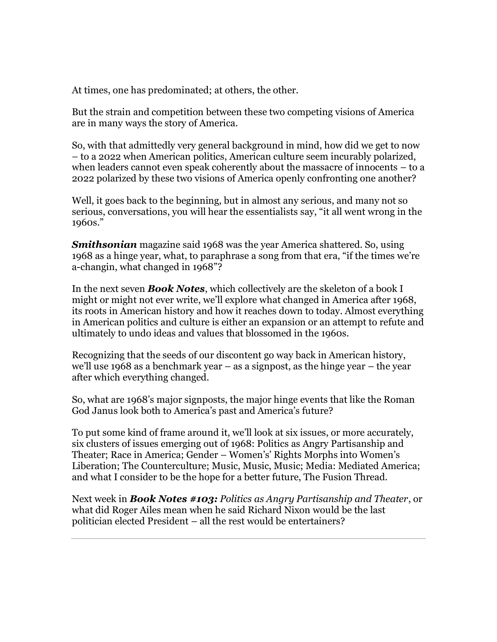At times, one has predominated; at others, the other.

But the strain and competition between these two competing visions of America are in many ways the story of America.

So, with that admittedly very general background in mind, how did we get to now – to a 2022 when American politics, American culture seem incurably polarized, when leaders cannot even speak coherently about the massacre of innocents – to a 2022 polarized by these two visions of America openly confronting one another?

Well, it goes back to the beginning, but in almost any serious, and many not so serious, conversations, you will hear the essentialists say, "it all went wrong in the 1960s."

*Smithsonian* magazine said 1968 was the year America shattered. So, using 1968 as a hinge year, what, to paraphrase a song from that era, "if the times we're a-changin, what changed in 1968"?

In the next seven *Book Notes*, which collectively are the skeleton of a book I might or might not ever write, we'll explore what changed in America after 1968, its roots in American history and how it reaches down to today. Almost everything in American politics and culture is either an expansion or an attempt to refute and ultimately to undo ideas and values that blossomed in the 1960s.

Recognizing that the seeds of our discontent go way back in American history, we'll use 1968 as a benchmark year – as a signpost, as the hinge year – the year after which everything changed.

So, what are 1968's major signposts, the major hinge events that like the Roman God Janus look both to America's past and America's future?

To put some kind of frame around it, we'll look at six issues, or more accurately, six clusters of issues emerging out of 1968: Politics as Angry Partisanship and Theater; Race in America; Gender – Women's' Rights Morphs into Women's Liberation; The Counterculture; Music, Music, Music; Media: Mediated America; and what I consider to be the hope for a better future, The Fusion Thread.

Next week in *Book Notes #103: Politics as Angry Partisanship and Theater*, or what did Roger Ailes mean when he said Richard Nixon would be the last politician elected President – all the rest would be entertainers?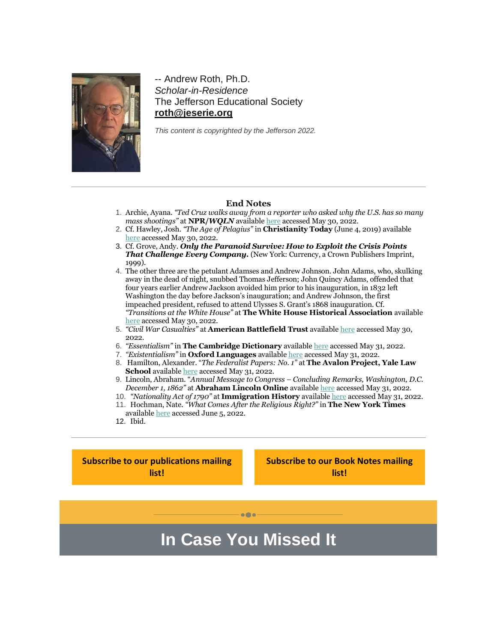

-- Andrew Roth, Ph.D. *Scholar-in-Residence* The Jefferson Educational Society **[roth@jeserie.org](mailto:roth@jeserie.org)**

*This content is copyrighted by the Jefferson 2022.*

## **End Notes**

- 1. Archie, Ayana. *"Ted Cruz walks away from a reporter who asked why the U.S. has so many mass shootings"* at **NPR/***WQLN* availabl[e here](https://r20.rs6.net/tn.jsp?f=001k3r6xBZuSCz2ppFh3DodY6AFRY7k9GfeGnCETDYYRaIESpIsu4c0ZqwxvB_MLiEnhfjwT6Q8V3BvzKSf9v49Zv_Y8i5M3i0lkEeQOxu3o_34-jMdTXy5b7KJvO_SpJmn957OqEXEdhg3fAXTNFZvaJCWSZ2EIV9IC-o_u75XZcPxSUCYCmidtO6mGAzOo0CnjBrrKrlgprpKfWAla1QkFI28t87SAbeyBevbL4a74LinKcx6b0Ul_QOTVmDBo8I1&c=QtL0Nr0cx6Vso0XZoeC8Or8IZ7D3tD8R8ExCDUXsFlH1ld0IZm6f0g==&ch=Se3HhvRxUGQtsEjJHte5F-RKPbwpRc20ZTutqsuVf8aFpNVsPJtIrg==) accessed May 30, 2022.
- 2. Cf. Hawley, Josh. *"The Age of Pelagius"* in **Christianity Today** (June 4, 2019) available [here](https://r20.rs6.net/tn.jsp?f=001k3r6xBZuSCz2ppFh3DodY6AFRY7k9GfeGnCETDYYRaIESpIsu4c0ZqwxvB_MLiEn3lg-2YQr4uch9aWiqTxcFifvfUqoCxfyNu-3HdhyPa4Dv6vW6e-e7U1nj9Q-Jk5ay_gEhKZM3tCWHs1vnShEaY0gMvnsWK9xxpj9cgVI7wZhqxjM8eF9xxRxM7EHnT05JjoJ0Y2TYnlbl2ezYikqUDHU8aIaEiB7ZAksa6fb0-agTjvgoPLj9w==&c=QtL0Nr0cx6Vso0XZoeC8Or8IZ7D3tD8R8ExCDUXsFlH1ld0IZm6f0g==&ch=Se3HhvRxUGQtsEjJHte5F-RKPbwpRc20ZTutqsuVf8aFpNVsPJtIrg==) accessed May 30, 2022.
- 3. Cf. Grove, Andy. *Only the Paranoid Survive: How to Exploit the Crisis Points That Challenge Every Company.* (New York: Currency, a Crown Publishers Imprint, 1999).
- 4. The other three are the petulant Adamses and Andrew Johnson. John Adams, who, skulking away in the dead of night, snubbed Thomas Jefferson; John Quincy Adams, offended that four years earlier Andrew Jackson avoided him prior to his inauguration, in 1832 left Washington the day before Jackson's inauguration; and Andrew Johnson, the first impeached president, refused to attend Ulysses S. Grant's 1868 inauguration. Cf. *"Transitions at the White House"* at **The White House Historical Association** available [here](https://r20.rs6.net/tn.jsp?f=001k3r6xBZuSCz2ppFh3DodY6AFRY7k9GfeGnCETDYYRaIESpIsu4c0ZqwxvB_MLiEnVFXwgZh-rmYP5BeTPBkzRVLHVUlckZHSCZZvSzkfBA-JpFzrpccY6MBAG_Kgc5_GUtASxjrJnS6yBEDfZ7Zyc0UwqUScIypUGDbmBzPo55l2Q0w8Sl7mlkm8DLskJnGW4qxjVHR2jqDWsZRm7ZLKd7pPEE_CWl01H1OAmlrrnUTHEGpakL7ptGopMkdUOSSu&c=QtL0Nr0cx6Vso0XZoeC8Or8IZ7D3tD8R8ExCDUXsFlH1ld0IZm6f0g==&ch=Se3HhvRxUGQtsEjJHte5F-RKPbwpRc20ZTutqsuVf8aFpNVsPJtIrg==) accessed May 30, 2022.
- 5. *"Civil War Casualties"* at **American Battlefield Trust** availabl[e here](https://r20.rs6.net/tn.jsp?f=001k3r6xBZuSCz2ppFh3DodY6AFRY7k9GfeGnCETDYYRaIESpIsu4c0ZqwxvB_MLiEnKBxs9v69qZVEWS7ZCrR0Q_C21l7YQU55lvjyV7o_Qu1MaNu0c7ngKkYC0a3lJHgCbzPnbTJTfH0rz3FW2bp30Ff3llAbDAjy2iPfA38l-1qtg2M_L7OAeG6fHA95TDtfzn8BAzjJ9hI9vYqbVjlic06p8tTCmjmaA-NYRg_yYo4YSGZtnzj5kki5Hm0go0YWRnbu3G4E3Am3Ev6Wb_2wlb7c6aO7Gm1Ee81sNNGkOyhvyyz4wjdSvnAamzQyrDsMH6TBu8XGFlhEbFzFAXclOZtDYN6C5IFcFwLPGrBI8MsUYK8tcNmn1xjuxnSKTxbVkX9VzH7OHqd4hunqOr_ImhxnzX7OApbeP5K2oEAfIHpKhKdL4PMEXAmBqmSoYQYPSRs-uUvvVzswxTFsjn1f3BNjznudiXVvf414FH59z3sRI9WFAfISb2ZVn13_lX3Q&c=QtL0Nr0cx6Vso0XZoeC8Or8IZ7D3tD8R8ExCDUXsFlH1ld0IZm6f0g==&ch=Se3HhvRxUGQtsEjJHte5F-RKPbwpRc20ZTutqsuVf8aFpNVsPJtIrg==) accessed May 30, 2022.
- 6. *"Essentialism"* in **The Cambridge Dictionary** availabl[e here](https://r20.rs6.net/tn.jsp?f=001k3r6xBZuSCz2ppFh3DodY6AFRY7k9GfeGnCETDYYRaIESpIsu4c0ZqwxvB_MLiEnQuiY4MBjkYIM5mAHMQ2fG0iGdxHyQaP-rQ9-Xp60h6iqyoErL-9BmCvoDN1_n7BItb_5dDPxRuWDddahjMEYR3S-xumpsMHBdERlYxXnQph5o94hCB1P5uU6fK9ihkDijsjYA0f8F2X0WaZLa2mX3Q==&c=QtL0Nr0cx6Vso0XZoeC8Or8IZ7D3tD8R8ExCDUXsFlH1ld0IZm6f0g==&ch=Se3HhvRxUGQtsEjJHte5F-RKPbwpRc20ZTutqsuVf8aFpNVsPJtIrg==) accessed May 31, 2022.
- 7. *"Existentialism"* in **Oxford Languages** available [here](https://r20.rs6.net/tn.jsp?f=001k3r6xBZuSCz2ppFh3DodY6AFRY7k9GfeGnCETDYYRaIESpIsu4c0ZqwxvB_MLiEngSat6PAjNmy7hRDe3JZDy3dsAkGZBnG1H_suCyWcK7HAG7rTfGO2COiQVLypbPUeF1RB3y0d6ib2DdQMokLI4RekRTk2uAXhmW-WB8bV5r6NfCi_FVE4r9kko5haG2WwmqvMrqK25MOBqvIx9qWItTy0bmwTHB2k52QqIFj_cTtIIEMoV7JUGpsgfzS4VfYq-dpnYN1tLqBOmJDg1ECD0COppXuGa3iSOvwKkQoymYQ8_bjfmrBa7uqE-1pQwoMW46rOOV8rMwfegGQTUM3qA-mH6v8T4GIpBIMYTa0OqvEqZGMhhnGFlU5AgbmhJz9yseW7ZU8Vz9vrpILiEZpu4ZcfOu5yHMD5SdyOHphGo_drPAFH4qPXvCT5ubAu6clMYPqjWCyfEG_z_TMjEC5kgevSVSWg1AVXySD0uKU74XzXCgSbuPlkITHyHRzw-BVppHbLtOmkMjebNP5zfZQuFxN9MNhw8Oe4FoIeYmDZciGsaAlRyhlHUkRfZGG6VAtMy1jwZmakg4Tobj_Liqs_nar80HQwM6AQDHQQEJHBy5OIMDzTcstZLoFKWuV1fwzJXXZvV1vQubN0JvBISiuS7qs-c8vWDN9udjziaN6kWMIheXaTbsHWvwfmoa0K8IjkiudrQm6BAouCLT0_TeUQ_5l6XK36S5tx&c=QtL0Nr0cx6Vso0XZoeC8Or8IZ7D3tD8R8ExCDUXsFlH1ld0IZm6f0g==&ch=Se3HhvRxUGQtsEjJHte5F-RKPbwpRc20ZTutqsuVf8aFpNVsPJtIrg==) accessed May 31, 2022.
- 8. Hamilton, Alexander. "*The Federalist Papers: No. 1"* at **The Avalon Project, Yale Law School** available [here](https://r20.rs6.net/tn.jsp?f=001k3r6xBZuSCz2ppFh3DodY6AFRY7k9GfeGnCETDYYRaIESpIsu4c0ZqwxvB_MLiEnxYDSflLF1OHtfslCW9bPOqOXgBJbRc_bu4b-7qNQYwgR6nz_hlipFkMznwfQAcIAMU6g6eQxR_SsU9khP_sY_tvXid0zuzeB8u4Ghiha-FcMDRR670cP_Q==&c=QtL0Nr0cx6Vso0XZoeC8Or8IZ7D3tD8R8ExCDUXsFlH1ld0IZm6f0g==&ch=Se3HhvRxUGQtsEjJHte5F-RKPbwpRc20ZTutqsuVf8aFpNVsPJtIrg==) accessed May 31, 2022.
- 9. Lincoln, Abraham. "*Annual Message to Congress – Concluding Remarks, Washington, D.C. December 1, 1862"* at **Abraham Lincoln Online** availabl[e here](https://r20.rs6.net/tn.jsp?f=001k3r6xBZuSCz2ppFh3DodY6AFRY7k9GfeGnCETDYYRaIESpIsu4c0ZqwxvB_MLiEnv9mFZweJZZ-a8OUrQwR-Fn8kDR-colbXO8wE1G-8hwjHCxL64C5ktZD-xnNQeDSUrEVIIGqCS56ytOZK8IV--ijjYokpNDQQIJqfhdCTCxUZqv-b9ZpQNBfZ5EQX4BjMH5qefQzeEDI=&c=QtL0Nr0cx6Vso0XZoeC8Or8IZ7D3tD8R8ExCDUXsFlH1ld0IZm6f0g==&ch=Se3HhvRxUGQtsEjJHte5F-RKPbwpRc20ZTutqsuVf8aFpNVsPJtIrg==) accessed May 31, 2022.
- 10. *"Nationality Act of 1790"* at **Immigration History** available [here](https://r20.rs6.net/tn.jsp?f=001k3r6xBZuSCz2ppFh3DodY6AFRY7k9GfeGnCETDYYRaIESpIsu4c0ZqwxvB_MLiEn8H4PmOGqYWtRLjqV1BEK8qJTQ4AYQX2CwNliY512O_X7mD2wpthayHFfdUM7sVcalAWUgXZTn_jeVfmwmaQyvDEcOl6ZhpLLcGlUJ5x9mNQu-YTXeGCISKXjQyEM1TPT&c=QtL0Nr0cx6Vso0XZoeC8Or8IZ7D3tD8R8ExCDUXsFlH1ld0IZm6f0g==&ch=Se3HhvRxUGQtsEjJHte5F-RKPbwpRc20ZTutqsuVf8aFpNVsPJtIrg==) accessed May 31, 2022. 11. Hochman, Nate. *"What Comes After the Religious Right?"* in **The New York Times**
- availabl[e here](https://r20.rs6.net/tn.jsp?f=001k3r6xBZuSCz2ppFh3DodY6AFRY7k9GfeGnCETDYYRaIESpIsu4c0ZqwxvB_MLiEnVAvXQSG-sh7O4VGWgE6HffTTT0ESXs1xnOrQ_R5WEwNVNsG6lsnWjJXQ2tlo5zf1-AlxbllMKXxjRT9QyTDjv2UkuyVZa7QsA5rFfPyKQ_0dvAQZcN1k4_84fdgc-FRPPzt_-s-mFjWVQWlXlj9MirQdXw0jfXL3oX87bNAFvm8=&c=QtL0Nr0cx6Vso0XZoeC8Or8IZ7D3tD8R8ExCDUXsFlH1ld0IZm6f0g==&ch=Se3HhvRxUGQtsEjJHte5F-RKPbwpRc20ZTutqsuVf8aFpNVsPJtIrg==) accessed June 5, 2022.

**In Case You Missed It**

 $\bullet\bullet\bullet$ 

12. Ibid.

**[Subscribe to our publications mailing](https://r20.rs6.net/tn.jsp?f=001k3r6xBZuSCz2ppFh3DodY6AFRY7k9GfeGnCETDYYRaIESpIsu4c0ZqwxvB_MLiEn_quMELikVFGpO8R-pMtjZNZsImZFONywGXCW46GETVvVLnY3EWmrDh8WO4_uyXVvgrBltjhTYV1c_F7Qy8FF82A5vSg3g6HW_MtVJMFjpDpC4VLJkcNSkZMFgS05XygeEBQkFFt6tirVHNOVcXpPNLKvKHbXAz5oqI4C-D8f1keGhpoyfEgv5fw6Y-54rw1V6JfhJv6yl7W3PpBLjC6g8y_Rs_bkF2NEj9MmE3oVD0n5rGR7s49L8W30sblHhWmtvZD2TZvS8BrGj8wP2cX-ktSCrSJl76w5nnHMXWI_rZU=&c=QtL0Nr0cx6Vso0XZoeC8Or8IZ7D3tD8R8ExCDUXsFlH1ld0IZm6f0g==&ch=Se3HhvRxUGQtsEjJHte5F-RKPbwpRc20ZTutqsuVf8aFpNVsPJtIrg==)  [list!](https://r20.rs6.net/tn.jsp?f=001k3r6xBZuSCz2ppFh3DodY6AFRY7k9GfeGnCETDYYRaIESpIsu4c0ZqwxvB_MLiEn_quMELikVFGpO8R-pMtjZNZsImZFONywGXCW46GETVvVLnY3EWmrDh8WO4_uyXVvgrBltjhTYV1c_F7Qy8FF82A5vSg3g6HW_MtVJMFjpDpC4VLJkcNSkZMFgS05XygeEBQkFFt6tirVHNOVcXpPNLKvKHbXAz5oqI4C-D8f1keGhpoyfEgv5fw6Y-54rw1V6JfhJv6yl7W3PpBLjC6g8y_Rs_bkF2NEj9MmE3oVD0n5rGR7s49L8W30sblHhWmtvZD2TZvS8BrGj8wP2cX-ktSCrSJl76w5nnHMXWI_rZU=&c=QtL0Nr0cx6Vso0XZoeC8Or8IZ7D3tD8R8ExCDUXsFlH1ld0IZm6f0g==&ch=Se3HhvRxUGQtsEjJHte5F-RKPbwpRc20ZTutqsuVf8aFpNVsPJtIrg==)**

**[Subscribe to our Book Notes mailing](https://r20.rs6.net/tn.jsp?f=001k3r6xBZuSCz2ppFh3DodY6AFRY7k9GfeGnCETDYYRaIESpIsu4c0ZqwxvB_MLiEno03GHCBXxSTWP42mUIcBKf_diXl-XMe1cn8HzHBsn3bUVQVIad7UOdHL2EBV2VXOP0u7cSP_dcQWFGTw99hJUznzVBC3ukq59LjiIsgtY_KHtWebZKZmkmsDx9tZGckCEa2AZF96Xwd1wvkMq-XNXdCweOtgA_Tkr8DK8P9PSil0UCN21F93KmhyDT0ryaRFbSzK_ORdB3OquhKBNLAhid2Kt5Pxb4-PeynJePhGorDKoyhxnQjhKVqb16okD-JBAdLy7ACTXU6ktmkgcIzgLL-RQYLsJbCVXgfVEfhmwFs=&c=QtL0Nr0cx6Vso0XZoeC8Or8IZ7D3tD8R8ExCDUXsFlH1ld0IZm6f0g==&ch=Se3HhvRxUGQtsEjJHte5F-RKPbwpRc20ZTutqsuVf8aFpNVsPJtIrg==)  [list!](https://r20.rs6.net/tn.jsp?f=001k3r6xBZuSCz2ppFh3DodY6AFRY7k9GfeGnCETDYYRaIESpIsu4c0ZqwxvB_MLiEno03GHCBXxSTWP42mUIcBKf_diXl-XMe1cn8HzHBsn3bUVQVIad7UOdHL2EBV2VXOP0u7cSP_dcQWFGTw99hJUznzVBC3ukq59LjiIsgtY_KHtWebZKZmkmsDx9tZGckCEa2AZF96Xwd1wvkMq-XNXdCweOtgA_Tkr8DK8P9PSil0UCN21F93KmhyDT0ryaRFbSzK_ORdB3OquhKBNLAhid2Kt5Pxb4-PeynJePhGorDKoyhxnQjhKVqb16okD-JBAdLy7ACTXU6ktmkgcIzgLL-RQYLsJbCVXgfVEfhmwFs=&c=QtL0Nr0cx6Vso0XZoeC8Or8IZ7D3tD8R8ExCDUXsFlH1ld0IZm6f0g==&ch=Se3HhvRxUGQtsEjJHte5F-RKPbwpRc20ZTutqsuVf8aFpNVsPJtIrg==)**